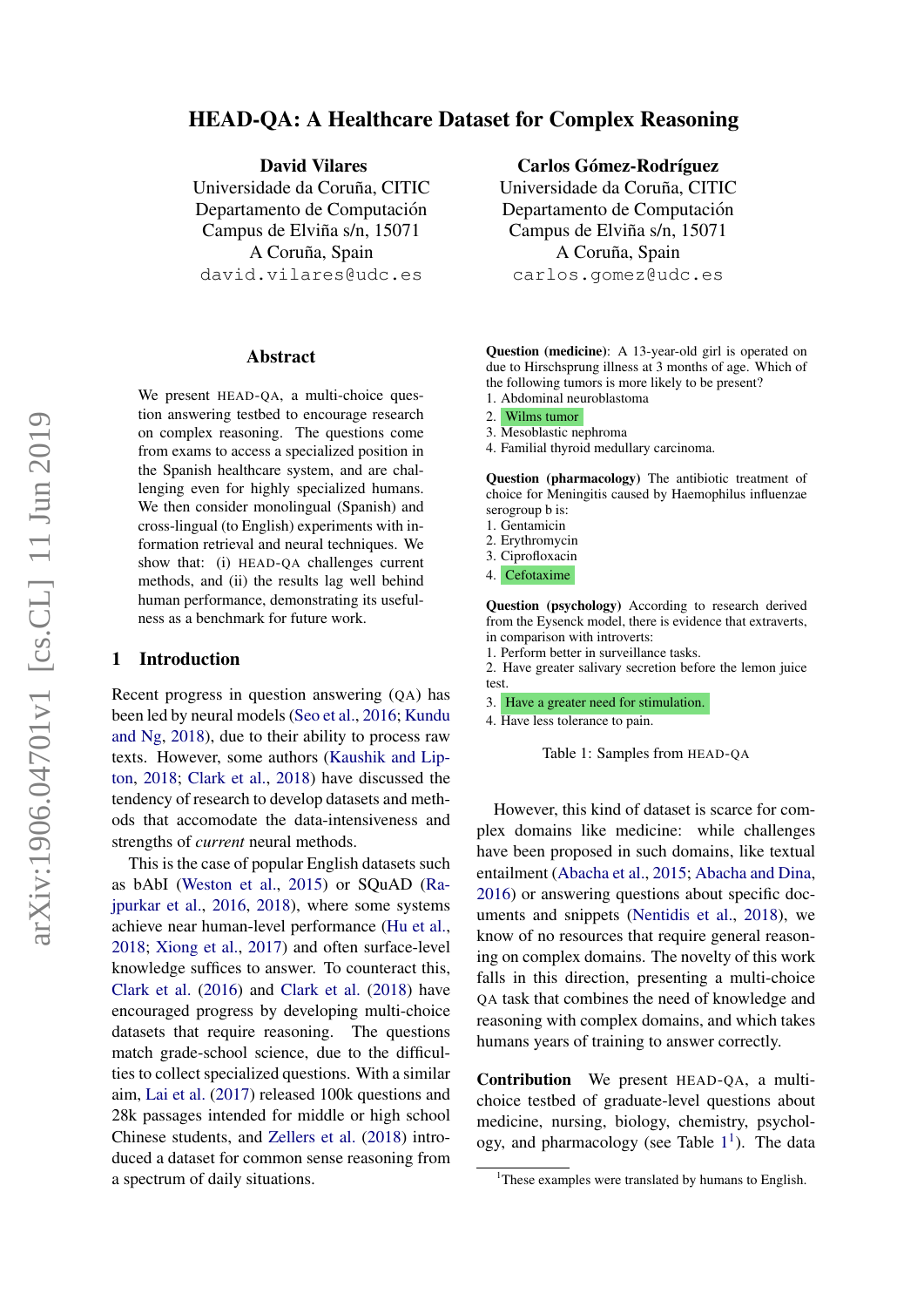# HEAD-QA: A Healthcare Dataset for Complex Reasoning

David Vilares

Universidade da Coruña, CITIC Departamento de Computación Campus de Elviña s/n, 15071 A Coruña, Spain david.vilares@udc.es

#### Abstract

We present HEAD-QA, a multi-choice question answering testbed to encourage research on complex reasoning. The questions come from exams to access a specialized position in the Spanish healthcare system, and are challenging even for highly specialized humans. We then consider monolingual (Spanish) and cross-lingual (to English) experiments with information retrieval and neural techniques. We show that: (i) HEAD-QA challenges current methods, and (ii) the results lag well behind human performance, demonstrating its usefulness as a benchmark for future work.

### 1 Introduction

Recent progress in question answering (QA) has been led by neural models [\(Seo et al.,](#page-6-0) [2016;](#page-6-0) [Kundu](#page-5-0) [and Ng,](#page-5-0) [2018\)](#page-5-0), due to their ability to process raw texts. However, some authors [\(Kaushik and Lip](#page-5-1)[ton,](#page-5-1) [2018;](#page-5-1) [Clark et al.,](#page-5-2) [2018\)](#page-5-2) have discussed the tendency of research to develop datasets and methods that accomodate the data-intensiveness and strengths of *current* neural methods.

This is the case of popular English datasets such as bAbI [\(Weston et al.,](#page-6-1) [2015\)](#page-6-1) or SQuAD [\(Ra](#page-6-2)[jpurkar et al.,](#page-6-2) [2016,](#page-6-2) [2018\)](#page-6-3), where some systems achieve near human-level performance [\(Hu et al.,](#page-5-3) [2018;](#page-5-3) [Xiong et al.,](#page-6-4) [2017\)](#page-6-4) and often surface-level knowledge suffices to answer. To counteract this, [Clark et al.](#page-5-4) [\(2016\)](#page-5-4) and [Clark et al.](#page-5-2) [\(2018\)](#page-5-2) have encouraged progress by developing multi-choice datasets that require reasoning. The questions match grade-school science, due to the difficulties to collect specialized questions. With a similar aim, [Lai et al.](#page-5-5) [\(2017\)](#page-5-5) released 100k questions and 28k passages intended for middle or high school Chinese students, and [Zellers et al.](#page-6-5) [\(2018\)](#page-6-5) introduced a dataset for common sense reasoning from a spectrum of daily situations.

Carlos Gómez-Rodríguez

Universidade da Coruña, CITIC Departamento de Computación Campus de Elviña s/n, 15071 A Coruña, Spain carlos.gomez@udc.es

<span id="page-0-0"></span>Question (medicine): A 13-year-old girl is operated on due to Hirschsprung illness at 3 months of age. Which of the following tumors is more likely to be present? 1. Abdominal neuroblastoma

- 2. Wilms tumor
- 3. Mesoblastic nephroma
- 4. Familial thyroid medullary carcinoma.

Question (pharmacology) The antibiotic treatment of choice for Meningitis caused by Haemophilus influenzae serogroup b is:

- 1. Gentamicin
- 2. Erythromycin
- 3. Ciprofloxacin
- 4. Cefotaxime

Question (psychology) According to research derived from the Eysenck model, there is evidence that extraverts, in comparison with introverts:

1. Perform better in surveillance tasks.

2. Have greater salivary secretion before the lemon juice test.

- 3. Have a greater need for stimulation.
- 4. Have less tolerance to pain.

Table 1: Samples from HEAD-QA

However, this kind of dataset is scarce for complex domains like medicine: while challenges have been proposed in such domains, like textual entailment [\(Abacha et al.,](#page-5-6) [2015;](#page-5-6) [Abacha and Dina,](#page-5-7) [2016\)](#page-5-7) or answering questions about specific documents and snippets [\(Nentidis et al.,](#page-5-8) [2018\)](#page-5-8), we know of no resources that require general reasoning on complex domains. The novelty of this work falls in this direction, presenting a multi-choice QA task that combines the need of knowledge and reasoning with complex domains, and which takes humans years of training to answer correctly.

Contribution We present HEAD-QA, a multichoice testbed of graduate-level questions about medicine, nursing, biology, chemistry, psychology, and pharmacology (see Table  $1<sup>1</sup>$  $1<sup>1</sup>$ ). The data

<span id="page-0-1"></span><sup>&</sup>lt;sup>1</sup>These examples were translated by humans to English.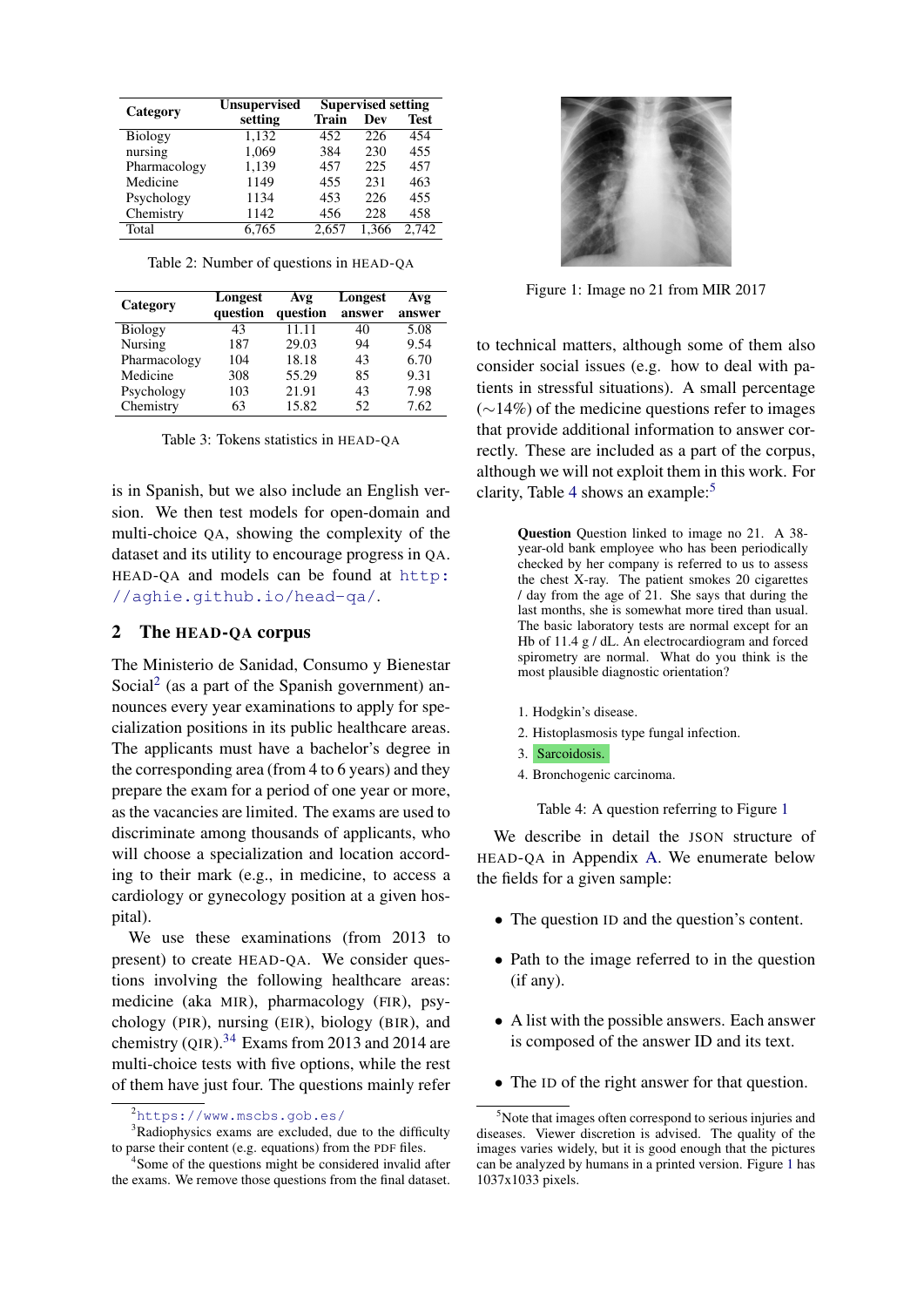<span id="page-1-6"></span>

|              | <b>Unsupervised</b> | <b>Supervised setting</b> |       |             |  |
|--------------|---------------------|---------------------------|-------|-------------|--|
| Category     | setting             | Train                     | Dev   | <b>Test</b> |  |
| Biology      | 1,132               | 452                       | 226   | 454         |  |
| nursing      | 1,069               | 384                       | 230   | 455         |  |
| Pharmacology | 1,139               | 457                       | 225   | 457         |  |
| Medicine     | 1149                | 455                       | 231   | 463         |  |
| Psychology   | 1134                | 453                       | 226   | 455         |  |
| Chemistry    | 1142                | 456                       | 228   | 458         |  |
| Total        | 6.765               | 2,657                     | 1.366 | 2,742       |  |

Table 2: Number of questions in HEAD-QA

<span id="page-1-7"></span>

| Category       | Longest<br>question | Avg<br>question | Longest<br>answer | Avg<br>answer |
|----------------|---------------------|-----------------|-------------------|---------------|
| <b>Biology</b> | 43                  | 11.11           | 40                | 5.08          |
| Nursing        | 187                 | 29.03           | 94                | 9.54          |
| Pharmacology   | 104                 | 18.18           | 43                | 6.70          |
| Medicine       | 308                 | 55.29           | 85                | 9.31          |
| Psychology     | 103                 | 21.91           | 43                | 7.98          |
| Chemistry      | 63                  | 15.82           | 52                | 7.62          |

Table 3: Tokens statistics in HEAD-QA

is in Spanish, but we also include an English version. We then test models for open-domain and multi-choice QA, showing the complexity of the dataset and its utility to encourage progress in QA. HEAD-QA and models can be found at [http:](http://aghie.github.io/head-qa/) [//aghie.github.io/head-qa/](http://aghie.github.io/head-qa/).

### 2 The HEAD-QA corpus

The Ministerio de Sanidad, Consumo y Bienestar Social<sup>[2](#page-1-0)</sup> (as a part of the Spanish government) announces every year examinations to apply for specialization positions in its public healthcare areas. The applicants must have a bachelor's degree in the corresponding area (from 4 to 6 years) and they prepare the exam for a period of one year or more, as the vacancies are limited. The exams are used to discriminate among thousands of applicants, who will choose a specialization and location according to their mark (e.g., in medicine, to access a cardiology or gynecology position at a given hospital).

We use these examinations (from 2013 to present) to create HEAD-QA. We consider questions involving the following healthcare areas: medicine (aka MIR), pharmacology (FIR), psychology (PIR), nursing (EIR), biology (BIR), and chemistry (QIR). $34$  $34$  Exams from 2013 and 2014 are multi-choice tests with five options, while the rest of them have just four. The questions mainly refer

<span id="page-1-5"></span>

Figure 1: Image no 21 from MIR 2017

to technical matters, although some of them also consider social issues (e.g. how to deal with patients in stressful situations). A small percentage (∼14%) of the medicine questions refer to images that provide additional information to answer correctly. These are included as a part of the corpus, although we will not exploit them in this work. For clarity, Table [4](#page-1-3) shows an example: $5$ 

> Question Question linked to image no 21. A 38 year-old bank employee who has been periodically checked by her company is referred to us to assess the chest X-ray. The patient smokes 20 cigarettes / day from the age of 21. She says that during the last months, she is somewhat more tired than usual. The basic laboratory tests are normal except for an Hb of 11.4 g / dL. An electrocardiogram and forced spirometry are normal. What do you think is the most plausible diagnostic orientation?

- 1. Hodgkin's disease.
- 2. Histoplasmosis type fungal infection.
- 3. Sarcoidosis.
- 4. Bronchogenic carcinoma.

<span id="page-1-3"></span>Table 4: A question referring to Figure [1](#page-1-5)

We describe in detail the JSON structure of HEAD-QA in Appendix [A.](#page-6-6) We enumerate below the fields for a given sample:

- The question ID and the question's content.
- Path to the image referred to in the question (if any).
- A list with the possible answers. Each answer is composed of the answer ID and its text.
- The ID of the right answer for that question.

<span id="page-1-1"></span><span id="page-1-0"></span><sup>2</sup><https://www.mscbs.gob.es/>

<sup>&</sup>lt;sup>3</sup>Radiophysics exams are excluded, due to the difficulty to parse their content (e.g. equations) from the PDF files.

<span id="page-1-2"></span><sup>&</sup>lt;sup>4</sup>Some of the questions might be considered invalid after the exams. We remove those questions from the final dataset.

<span id="page-1-4"></span><sup>5</sup>Note that images often correspond to serious injuries and diseases. Viewer discretion is advised. The quality of the images varies widely, but it is good enough that the pictures can be analyzed by humans in a printed version. Figure [1](#page-1-5) has 1037x1033 pixels.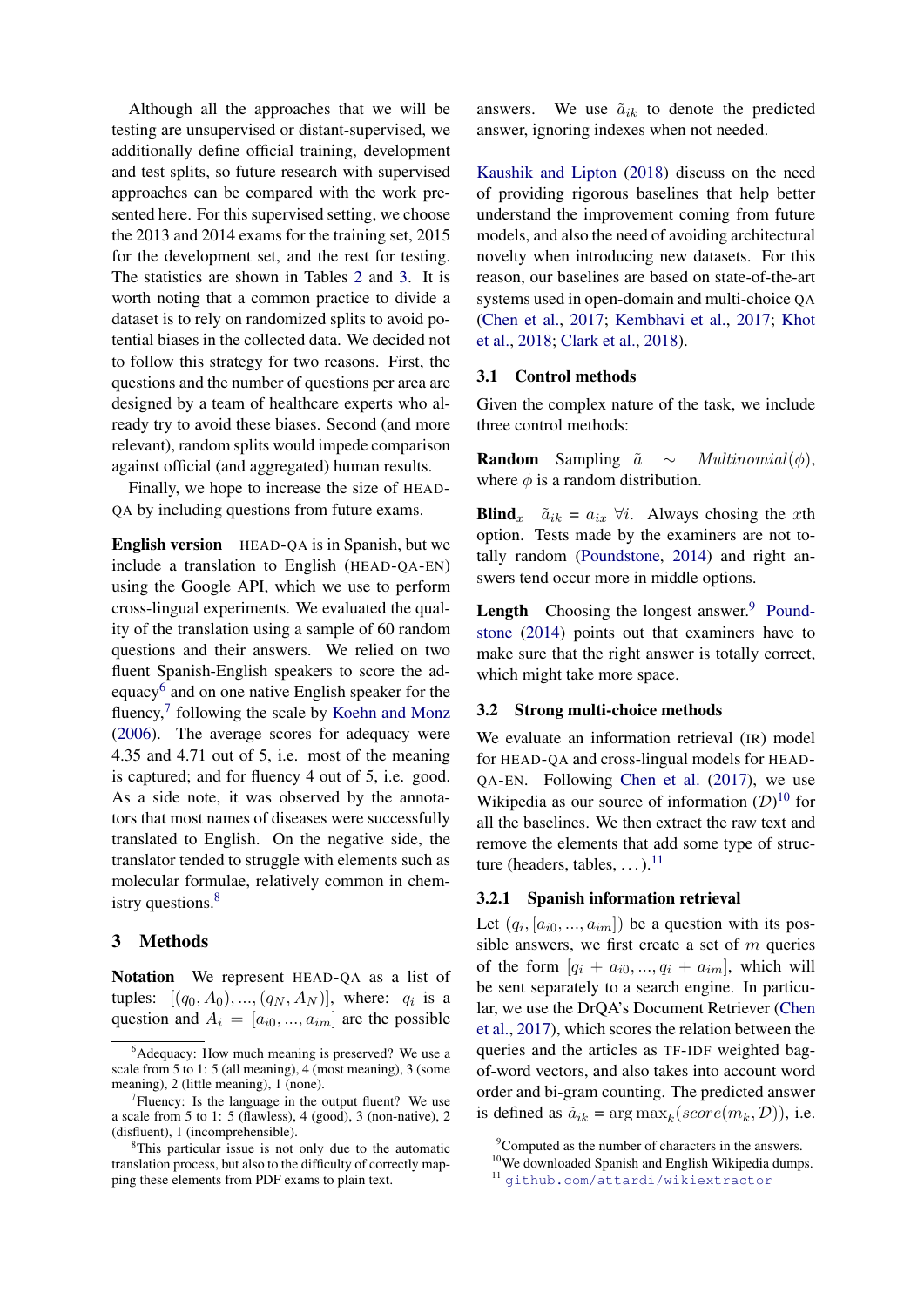Although all the approaches that we will be testing are unsupervised or distant-supervised, we additionally define official training, development and test splits, so future research with supervised approaches can be compared with the work presented here. For this supervised setting, we choose the 2013 and 2014 exams for the training set, 2015 for the development set, and the rest for testing. The statistics are shown in Tables [2](#page-1-6) and [3.](#page-1-7) It is worth noting that a common practice to divide a dataset is to rely on randomized splits to avoid potential biases in the collected data. We decided not to follow this strategy for two reasons. First, the questions and the number of questions per area are designed by a team of healthcare experts who already try to avoid these biases. Second (and more relevant), random splits would impede comparison against official (and aggregated) human results.

Finally, we hope to increase the size of HEAD-QA by including questions from future exams.

English version HEAD-QA is in Spanish, but we include a translation to English (HEAD-QA-EN) using the Google API, which we use to perform cross-lingual experiments. We evaluated the quality of the translation using a sample of 60 random questions and their answers. We relied on two fluent Spanish-English speakers to score the ad-equacy<sup>[6](#page-2-0)</sup> and on one native English speaker for the fluency,<sup>[7](#page-2-1)</sup> following the scale by [Koehn and Monz](#page-5-9) [\(2006\)](#page-5-9). The average scores for adequacy were 4.35 and 4.71 out of 5, i.e. most of the meaning is captured; and for fluency 4 out of 5, i.e. good. As a side note, it was observed by the annotators that most names of diseases were successfully translated to English. On the negative side, the translator tended to struggle with elements such as molecular formulae, relatively common in chem-istry questions.<sup>[8](#page-2-2)</sup>

## 3 Methods

Notation We represent HEAD-QA as a list of tuples:  $[(q_0, A_0), ..., (q_N, A_N)]$ , where:  $q_i$  is a question and  $A_i = [a_{i0},..., a_{im}]$  are the possible answers. We use  $\tilde{a}_{ik}$  to denote the predicted answer, ignoring indexes when not needed.

[Kaushik and Lipton](#page-5-1) [\(2018\)](#page-5-1) discuss on the need of providing rigorous baselines that help better understand the improvement coming from future models, and also the need of avoiding architectural novelty when introducing new datasets. For this reason, our baselines are based on state-of-the-art systems used in open-domain and multi-choice QA [\(Chen et al.,](#page-5-10) [2017;](#page-5-10) [Kembhavi et al.,](#page-5-11) [2017;](#page-5-11) [Khot](#page-5-12) [et al.,](#page-5-12) [2018;](#page-5-12) [Clark et al.,](#page-5-2) [2018\)](#page-5-2).

#### 3.1 Control methods

Given the complex nature of the task, we include three control methods:

**Random** Sampling  $\tilde{a} \sim Multinomial(\phi)$ , where  $\phi$  is a random distribution.

**Blind**<sub>x</sub>  $\tilde{a}_{ik} = a_{ix} \forall i$ . Always chosing the xth option. Tests made by the examiners are not totally random [\(Poundstone,](#page-6-7) [2014\)](#page-6-7) and right answers tend occur more in middle options.

**Length** Choosing the longest answer. $9$  [Pound](#page-6-7)[stone](#page-6-7) [\(2014\)](#page-6-7) points out that examiners have to make sure that the right answer is totally correct, which might take more space.

### 3.2 Strong multi-choice methods

We evaluate an information retrieval (IR) model for HEAD-QA and cross-lingual models for HEAD-QA-EN. Following [Chen et al.](#page-5-10) [\(2017\)](#page-5-10), we use Wikipedia as our source of information  $(D)^{10}$  $(D)^{10}$  $(D)^{10}$  for all the baselines. We then extract the raw text and remove the elements that add some type of structure (headers, tables,  $\dots$ ).<sup>[11](#page-2-5)</sup>

## 3.2.1 Spanish information retrieval

Let  $(q_i, [a_{i0},..., a_{im}])$  be a question with its possible answers, we first create a set of  $m$  queries of the form  $[q_i + a_{i0}, ..., q_i + a_{im}]$ , which will be sent separately to a search engine. In particular, we use the DrQA's Document Retriever [\(Chen](#page-5-10) [et al.,](#page-5-10) [2017\)](#page-5-10), which scores the relation between the queries and the articles as TF-IDF weighted bagof-word vectors, and also takes into account word order and bi-gram counting. The predicted answer is defined as  $\tilde{a}_{ik} = \arg \max_k (score(m_k, \mathcal{D}))$ , i.e.

<span id="page-2-0"></span> $6$ Adequacy: How much meaning is preserved? We use a scale from 5 to 1: 5 (all meaning), 4 (most meaning), 3 (some meaning), 2 (little meaning), 1 (none).

<span id="page-2-1"></span> $7$ Fluency: Is the language in the output fluent? We use a scale from 5 to 1: 5 (flawless), 4 (good), 3 (non-native), 2 (disfluent), 1 (incomprehensible).

<span id="page-2-2"></span><sup>8</sup>This particular issue is not only due to the automatic translation process, but also to the difficulty of correctly mapping these elements from PDF exams to plain text.

<span id="page-2-3"></span> $9^9$ Computed as the number of characters in the answers.

<span id="page-2-4"></span><sup>&</sup>lt;sup>10</sup>We downloaded Spanish and English Wikipedia dumps.

<span id="page-2-5"></span><sup>11</sup> <github.com/attardi/wikiextractor>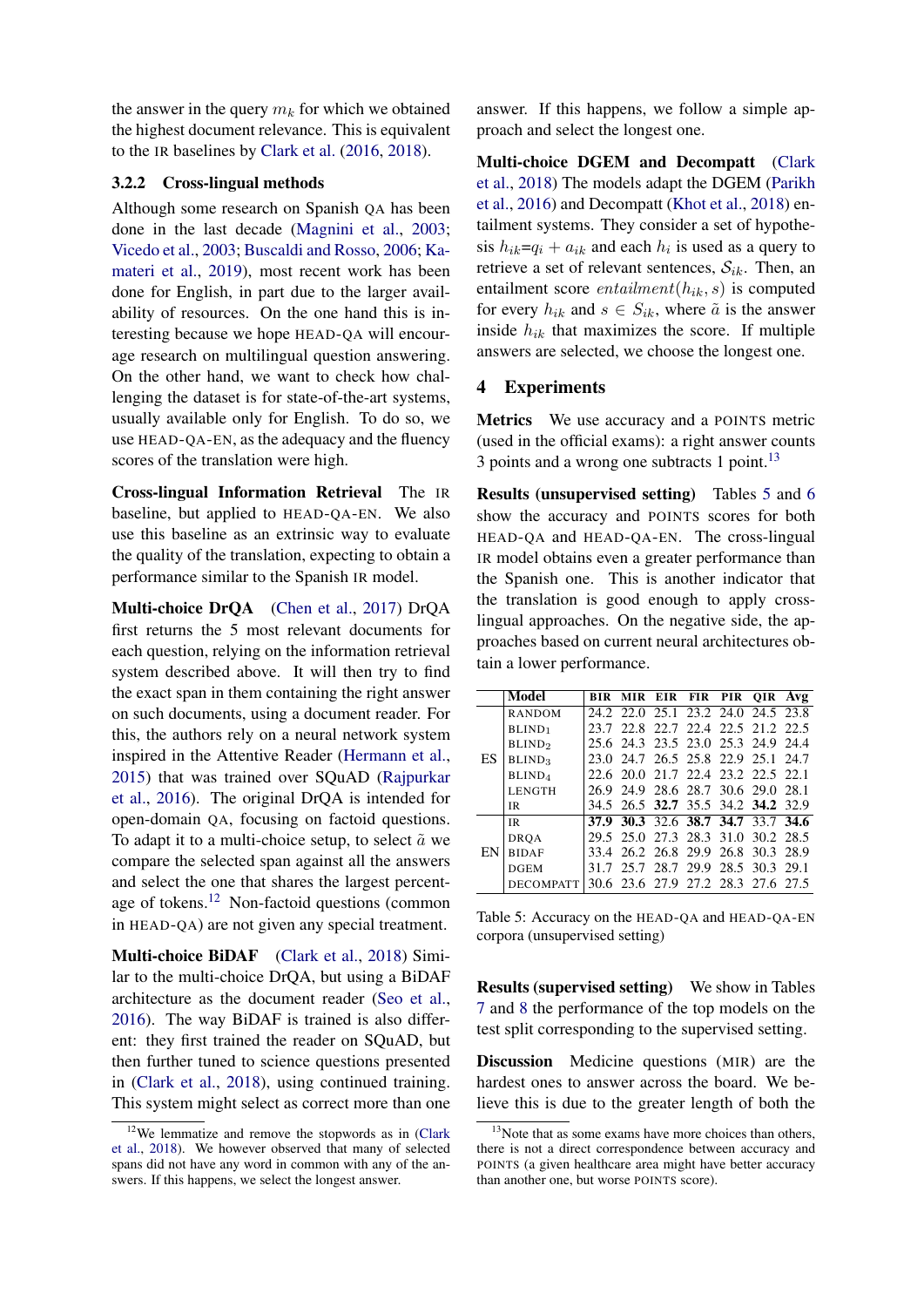the answer in the query  $m_k$  for which we obtained the highest document relevance. This is equivalent to the IR baselines by [Clark et al.](#page-5-4) [\(2016,](#page-5-4) [2018\)](#page-5-2).

#### 3.2.2 Cross-lingual methods

Although some research on Spanish QA has been done in the last decade [\(Magnini et al.,](#page-5-13) [2003;](#page-5-13) [Vicedo et al.,](#page-6-8) [2003;](#page-6-8) [Buscaldi and Rosso,](#page-5-14) [2006;](#page-5-14) [Ka](#page-5-15)[materi et al.,](#page-5-15) [2019\)](#page-5-15), most recent work has been done for English, in part due to the larger availability of resources. On the one hand this is interesting because we hope HEAD-QA will encourage research on multilingual question answering. On the other hand, we want to check how challenging the dataset is for state-of-the-art systems, usually available only for English. To do so, we use HEAD-QA-EN, as the adequacy and the fluency scores of the translation were high.

Cross-lingual Information Retrieval The IR baseline, but applied to HEAD-QA-EN. We also use this baseline as an extrinsic way to evaluate the quality of the translation, expecting to obtain a performance similar to the Spanish IR model.

Multi-choice DrQA [\(Chen et al.,](#page-5-10) [2017\)](#page-5-10) DrQA first returns the 5 most relevant documents for each question, relying on the information retrieval system described above. It will then try to find the exact span in them containing the right answer on such documents, using a document reader. For this, the authors rely on a neural network system inspired in the Attentive Reader [\(Hermann et al.,](#page-5-16) [2015\)](#page-5-16) that was trained over SQuAD [\(Rajpurkar](#page-6-2) [et al.,](#page-6-2) [2016\)](#page-6-2). The original DrQA is intended for open-domain QA, focusing on factoid questions. To adapt it to a multi-choice setup, to select  $\tilde{a}$  we compare the selected span against all the answers and select the one that shares the largest percentage of tokens.[12](#page-3-0) Non-factoid questions (common in HEAD-QA) are not given any special treatment.

Multi-choice BiDAF [\(Clark et al.,](#page-5-2) [2018\)](#page-5-2) Similar to the multi-choice DrQA, but using a BiDAF architecture as the document reader [\(Seo et al.,](#page-6-0) [2016\)](#page-6-0). The way BiDAF is trained is also different: they first trained the reader on SQuAD, but then further tuned to science questions presented in [\(Clark et al.,](#page-5-2) [2018\)](#page-5-2), using continued training. This system might select as correct more than one

answer. If this happens, we follow a simple approach and select the longest one.

Multi-choice DGEM and Decompatt [\(Clark](#page-5-2) [et al.,](#page-5-2) [2018\)](#page-5-2) The models adapt the DGEM [\(Parikh](#page-5-17) [et al.,](#page-5-17) [2016\)](#page-5-17) and Decompatt [\(Khot et al.,](#page-5-12) [2018\)](#page-5-12) entailment systems. They consider a set of hypothesis  $h_{ik}=q_i + a_{ik}$  and each  $h_i$  is used as a query to retrieve a set of relevant sentences,  $S_{ik}$ . Then, an entailment score  $entailment(h_{ik}, s)$  is computed for every  $h_{ik}$  and  $s \in S_{ik}$ , where  $\tilde{a}$  is the answer inside  $h_{ik}$  that maximizes the score. If multiple answers are selected, we choose the longest one.

## 4 Experiments

Metrics We use accuracy and a POINTS metric (used in the official exams): a right answer counts 3 points and a wrong one subtracts 1 point.<sup>[13](#page-3-1)</sup>

Results (unsupervised setting) Tables [5](#page-3-2) and [6](#page-4-0) show the accuracy and POINTS scores for both HEAD-QA and HEAD-QA-EN. The cross-lingual IR model obtains even a greater performance than the Spanish one. This is another indicator that the translation is good enough to apply crosslingual approaches. On the negative side, the approaches based on current neural architectures obtain a lower performance.

<span id="page-3-2"></span>

|    | Model                     | BIR |                                    | MIR EIR FIR PIR OIR Avg |  |  |
|----|---------------------------|-----|------------------------------------|-------------------------|--|--|
|    | <b>RANDOM</b>             |     | 24.2 22.0 25.1 23.2 24.0 24.5 23.8 |                         |  |  |
|    | BLIND <sub>1</sub>        |     | 23.7 22.8 22.7 22.4 22.5 21.2 22.5 |                         |  |  |
|    | <b>BLIND</b> <sub>2</sub> |     | 25.6 24.3 23.5 23.0 25.3 24.9 24.4 |                         |  |  |
| ES | BLIND <sub>3</sub>        |     | 23.0 24.7 26.5 25.8 22.9 25.1 24.7 |                         |  |  |
|    | BLIND <sub>4</sub>        |     | 22.6 20.0 21.7 22.4 23.2 22.5 22.1 |                         |  |  |
|    | <b>LENGTH</b>             |     | 26.9 24.9 28.6 28.7 30.6 29.0 28.1 |                         |  |  |
|    | <b>IR</b>                 |     | 34.5 26.5 32.7 35.5 34.2 34.2 32.9 |                         |  |  |
|    | <b>IR</b>                 |     | 37.9 30.3 32.6 38.7 34.7 33.7 34.6 |                         |  |  |
| EN | <b>DROA</b>               |     | 29.5 25.0 27.3 28.3 31.0 30.2 28.5 |                         |  |  |
|    | <b>BIDAF</b>              |     | 33.4 26.2 26.8 29.9 26.8 30.3 28.9 |                         |  |  |
|    | <b>DGEM</b>               |     | 31.7 25.7 28.7 29.9 28.5 30.3 29.1 |                         |  |  |
|    | <b>DECOMPATT</b>          |     | 30.6 23.6 27.9 27.2 28.3 27.6 27.5 |                         |  |  |
|    |                           |     |                                    |                         |  |  |

Table 5: Accuracy on the HEAD-QA and HEAD-QA-EN corpora (unsupervised setting)

Results (supervised setting) We show in Tables [7](#page-4-1) and [8](#page-4-2) the performance of the top models on the test split corresponding to the supervised setting.

Discussion Medicine questions (MIR) are the hardest ones to answer across the board. We believe this is due to the greater length of both the

<span id="page-3-0"></span> $12$ We lemmatize and remove the stopwords as in [\(Clark](#page-5-2) [et al.,](#page-5-2) [2018\)](#page-5-2). We however observed that many of selected spans did not have any word in common with any of the answers. If this happens, we select the longest answer.

<span id="page-3-1"></span><sup>&</sup>lt;sup>13</sup>Note that as some exams have more choices than others, there is not a direct correspondence between accuracy and POINTS (a given healthcare area might have better accuracy than another one, but worse POINTS score).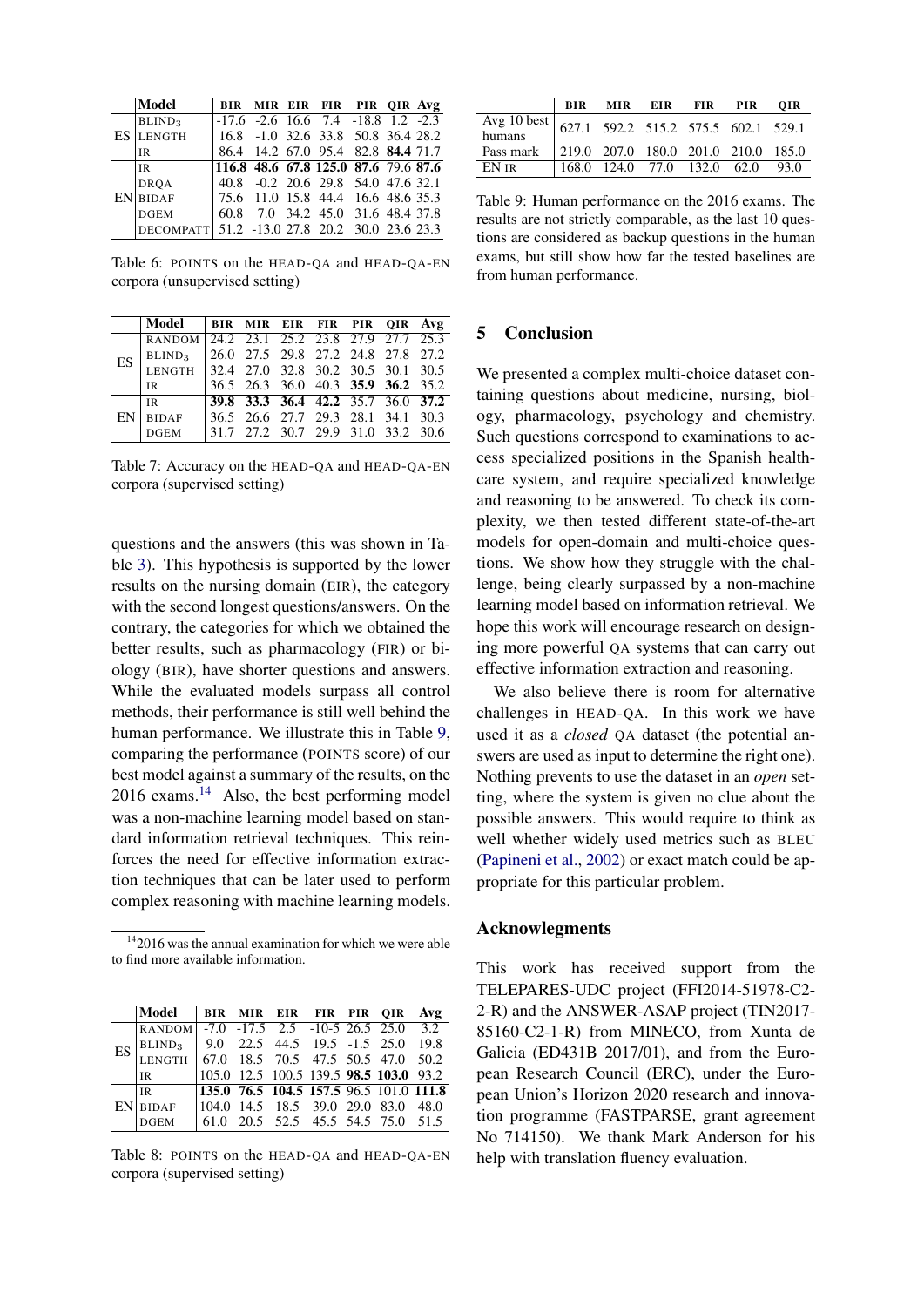<span id="page-4-0"></span>

|  | Model                                         |                                            |  | BIR MIR EIR FIR PIR OIR Avg        |  |  |
|--|-----------------------------------------------|--------------------------------------------|--|------------------------------------|--|--|
|  | BLIND <sub>3</sub>                            | $-17.6$ $-2.6$ 16.6 7.4 $-18.8$ 1.2 $-2.3$ |  |                                    |  |  |
|  | <b>ES LENGTH</b>                              | $16.8$ -1.0 32.6 33.8 50.8 36.4 28.2       |  |                                    |  |  |
|  | <b>IR</b>                                     |                                            |  | 86.4 14.2 67.0 95.4 82.8 84.4 71.7 |  |  |
|  | l i R                                         | 116.8 48.6 67.8 125.0 87.6 79.6 87.6       |  |                                    |  |  |
|  | <b>DRQA</b>                                   |                                            |  | 40.8 -0.2 20.6 29.8 54.0 47.6 32.1 |  |  |
|  | $EN$ BIDAF                                    |                                            |  | 75.6 11.0 15.8 44.4 16.6 48.6 35.3 |  |  |
|  | <b>DGEM</b>                                   |                                            |  | 60.8 7.0 34.2 45.0 31.6 48.4 37.8  |  |  |
|  | DECOMPATT 51.2 -13.0 27.8 20.2 30.0 23.6 23.3 |                                            |  |                                    |  |  |

Table 6: POINTS on the HEAD-QA and HEAD-QA-EN corpora (unsupervised setting)

<span id="page-4-1"></span>

|           | Model                                     | <b>BIR MIR EIR FIR PIR QIR Avg</b> |  |  |  |
|-----------|-------------------------------------------|------------------------------------|--|--|--|
| <b>ES</b> | RANDOM 24.2 23.1 25.2 23.8 27.9 27.7 25.3 |                                    |  |  |  |
|           | BLIND <sub>3</sub>                        | 26.0 27.5 29.8 27.2 24.8 27.8 27.2 |  |  |  |
|           | LENGTH 32.4 27.0 32.8 30.2 30.5 30.1 30.5 |                                    |  |  |  |
|           | IR                                        | 36.5 26.3 36.0 40.3 35.9 36.2 35.2 |  |  |  |
|           | IR.                                       | 39.8 33.3 36.4 42.2 35.7 36.0 37.2 |  |  |  |
| EN        | <b>BIDAF</b>                              | 36.5 26.6 27.7 29.3 28.1 34.1 30.3 |  |  |  |
|           | <b>DGEM</b>                               | 31.7 27.2 30.7 29.9 31.0 33.2 30.6 |  |  |  |

Table 7: Accuracy on the HEAD-QA and HEAD-QA-EN corpora (supervised setting)

questions and the answers (this was shown in Table [3\)](#page-1-7). This hypothesis is supported by the lower results on the nursing domain (EIR), the category with the second longest questions/answers. On the contrary, the categories for which we obtained the better results, such as pharmacology (FIR) or biology (BIR), have shorter questions and answers. While the evaluated models surpass all control methods, their performance is still well behind the human performance. We illustrate this in Table [9,](#page-4-3) comparing the performance (POINTS score) of our best model against a summary of the results, on the 2016 exams.[14](#page-4-4) Also, the best performing model was a non-machine learning model based on standard information retrieval techniques. This reinforces the need for effective information extraction techniques that can be later used to perform complex reasoning with machine learning models.

<span id="page-4-4"></span> $142016$  was the annual examination for which we were able to find more available information.

<span id="page-4-2"></span>

|    | Model                                     |                                                                                                                                                            | BIR MIR EIR FIR PIR OIR Avg        |  |  |
|----|-------------------------------------------|------------------------------------------------------------------------------------------------------------------------------------------------------------|------------------------------------|--|--|
| ES | RANDOM -7.0 -17.5 2.5 -10-5 26.5 25.0 3.2 |                                                                                                                                                            |                                    |  |  |
|    | BLIND <sub>3</sub>                        |                                                                                                                                                            | 9.0 22.5 44.5 19.5 -1.5 25.0 19.8  |  |  |
|    | <b>LENGTH</b>                             | $\begin{array}{cccccc} 67.0 & 18.5 & 70.5 & 47.5 & 50.5 & 47.0 & 50.2 \\ 105.0 & 12.5 & 100.5 & 139.5 & \textbf{98.5} & \textbf{103.0} & 93.2 \end{array}$ |                                    |  |  |
|    | IR                                        |                                                                                                                                                            |                                    |  |  |
|    | <b>IR</b>                                 | 135.0 76.5 104.5 157.5 96.5 101.0 111.8                                                                                                                    |                                    |  |  |
|    | <b>EN</b> BIDAF                           | $ 104.0 \t14.5 \t18.5 \t39.0 \t29.0 \t83.0 \t48.0$                                                                                                         |                                    |  |  |
|    | <b>DGEM</b>                               |                                                                                                                                                            | 61.0 20.5 52.5 45.5 54.5 75.0 51.5 |  |  |

Table 8: POINTS on the HEAD-QA and HEAD-QA-EN corpora (supervised setting)

<span id="page-4-3"></span>

|                                                 |                                     | BIR MIR EIR FIR PIR |  | OIR  |
|-------------------------------------------------|-------------------------------------|---------------------|--|------|
| Avg 10 best 627.1 592.2 515.2 575.5 602.1 529.1 |                                     |                     |  |      |
| Pass mark                                       |                                     |                     |  |      |
| EN ir                                           | $\vert$ 168.0 124.0 77.0 132.0 62.0 |                     |  | 93.0 |

Table 9: Human performance on the 2016 exams. The results are not strictly comparable, as the last 10 questions are considered as backup questions in the human exams, but still show how far the tested baselines are from human performance.

## 5 Conclusion

We presented a complex multi-choice dataset containing questions about medicine, nursing, biology, pharmacology, psychology and chemistry. Such questions correspond to examinations to access specialized positions in the Spanish healthcare system, and require specialized knowledge and reasoning to be answered. To check its complexity, we then tested different state-of-the-art models for open-domain and multi-choice questions. We show how they struggle with the challenge, being clearly surpassed by a non-machine learning model based on information retrieval. We hope this work will encourage research on designing more powerful QA systems that can carry out effective information extraction and reasoning.

We also believe there is room for alternative challenges in HEAD-QA. In this work we have used it as a *closed* QA dataset (the potential answers are used as input to determine the right one). Nothing prevents to use the dataset in an *open* setting, where the system is given no clue about the possible answers. This would require to think as well whether widely used metrics such as BLEU [\(Papineni et al.,](#page-5-18) [2002\)](#page-5-18) or exact match could be appropriate for this particular problem.

#### Acknowlegments

This work has received support from the TELEPARES-UDC project (FFI2014-51978-C2- 2-R) and the ANSWER-ASAP project (TIN2017- 85160-C2-1-R) from MINECO, from Xunta de Galicia (ED431B 2017/01), and from the European Research Council (ERC), under the European Union's Horizon 2020 research and innovation programme (FASTPARSE, grant agreement No 714150). We thank Mark Anderson for his help with translation fluency evaluation.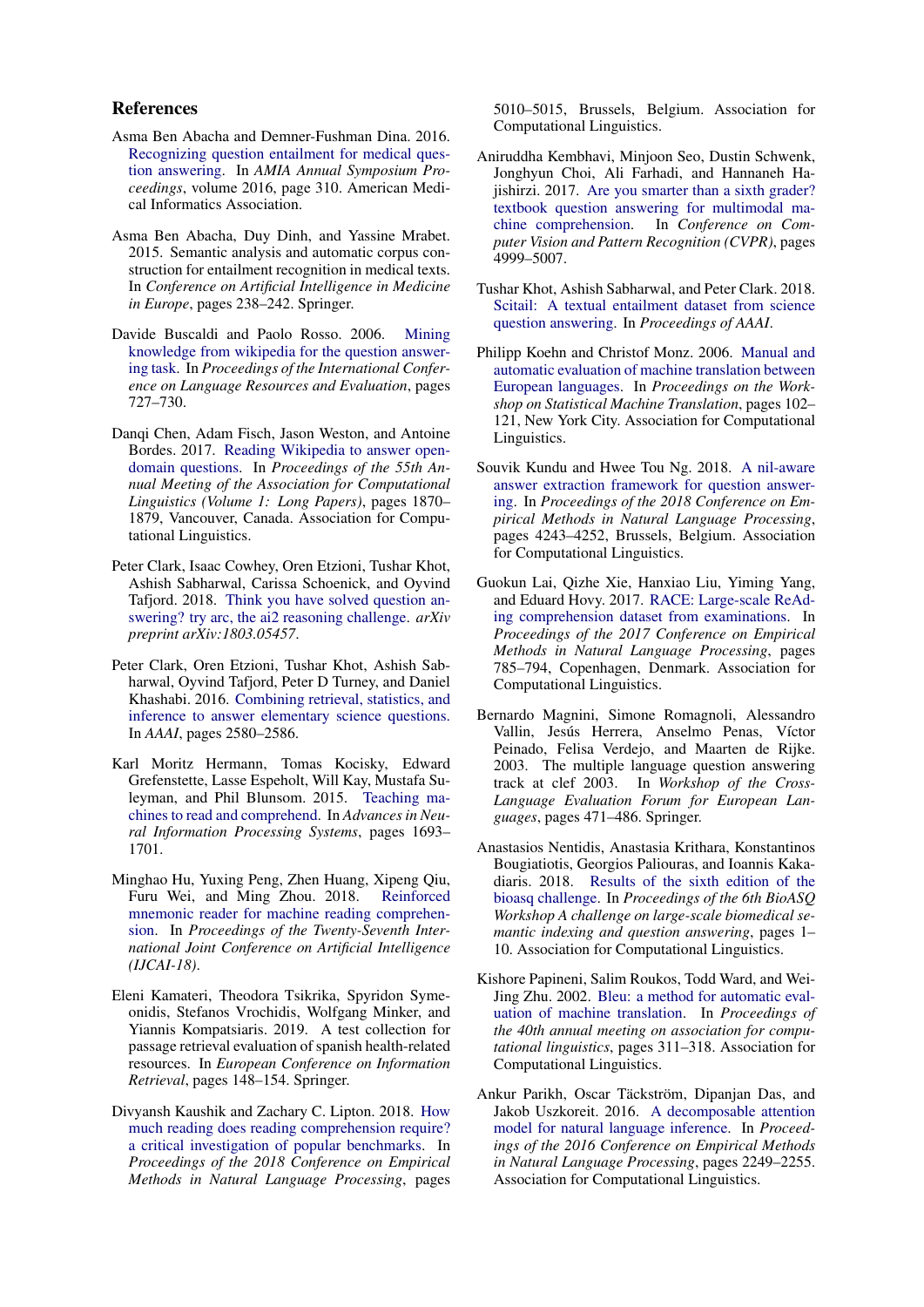#### References

- <span id="page-5-7"></span>Asma Ben Abacha and Demner-Fushman Dina. 2016. [Recognizing question entailment for medical ques](https://www.ncbi.nlm.nih.gov/pmc/articles/PMC5333286/)[tion answering.](https://www.ncbi.nlm.nih.gov/pmc/articles/PMC5333286/) In *AMIA Annual Symposium Proceedings*, volume 2016, page 310. American Medical Informatics Association.
- <span id="page-5-6"></span>Asma Ben Abacha, Duy Dinh, and Yassine Mrabet. 2015. Semantic analysis and automatic corpus construction for entailment recognition in medical texts. In *Conference on Artificial Intelligence in Medicine in Europe*, pages 238–242. Springer.
- <span id="page-5-14"></span>Davide Buscaldi and Paolo Rosso. 2006. [Mining](https://www.cs.brandeis.edu/~marc/misc/proceedings/lrec-2006/pdf/332_pdf.pdf) [knowledge from wikipedia for the question answer](https://www.cs.brandeis.edu/~marc/misc/proceedings/lrec-2006/pdf/332_pdf.pdf)[ing task.](https://www.cs.brandeis.edu/~marc/misc/proceedings/lrec-2006/pdf/332_pdf.pdf) In *Proceedings of the International Conference on Language Resources and Evaluation*, pages 727–730.
- <span id="page-5-10"></span>Danqi Chen, Adam Fisch, Jason Weston, and Antoine Bordes. 2017. [Reading Wikipedia to answer open](https://doi.org/10.18653/v1/P17-1171)[domain questions.](https://doi.org/10.18653/v1/P17-1171) In *Proceedings of the 55th Annual Meeting of the Association for Computational Linguistics (Volume 1: Long Papers)*, pages 1870– 1879, Vancouver, Canada. Association for Computational Linguistics.
- <span id="page-5-2"></span>Peter Clark, Isaac Cowhey, Oren Etzioni, Tushar Khot, Ashish Sabharwal, Carissa Schoenick, and Oyvind Tafjord. 2018. [Think you have solved question an](https://arxiv.org/pdf/1803.05457.pdf)[swering? try arc, the ai2 reasoning challenge.](https://arxiv.org/pdf/1803.05457.pdf) *arXiv preprint arXiv:1803.05457*.
- <span id="page-5-4"></span>Peter Clark, Oren Etzioni, Tushar Khot, Ashish Sabharwal, Oyvind Tafjord, Peter D Turney, and Daniel Khashabi. 2016. [Combining retrieval, statistics, and](https://www.aaai.org/ocs/index.php/AAAI/AAAI16/paper/view/11963/11990) [inference to answer elementary science questions.](https://www.aaai.org/ocs/index.php/AAAI/AAAI16/paper/view/11963/11990) In *AAAI*, pages 2580–2586.
- <span id="page-5-16"></span>Karl Moritz Hermann, Tomas Kocisky, Edward Grefenstette, Lasse Espeholt, Will Kay, Mustafa Suleyman, and Phil Blunsom. 2015. [Teaching ma](https://papers.nips.cc/paper/5945-teaching-machines-to-read-and-comprehend.pdf)[chines to read and comprehend.](https://papers.nips.cc/paper/5945-teaching-machines-to-read-and-comprehend.pdf) In *Advances in Neural Information Processing Systems*, pages 1693– 1701.
- <span id="page-5-3"></span>Minghao Hu, Yuxing Peng, Zhen Huang, Xipeng Qiu, Furu Wei, and Ming Zhou. 2018. [Reinforced](https://www.ijcai.org/proceedings/2018/0570.pdf) [mnemonic reader for machine reading comprehen](https://www.ijcai.org/proceedings/2018/0570.pdf)[sion.](https://www.ijcai.org/proceedings/2018/0570.pdf) In *Proceedings of the Twenty-Seventh International Joint Conference on Artificial Intelligence (IJCAI-18)*.
- <span id="page-5-15"></span>Eleni Kamateri, Theodora Tsikrika, Spyridon Symeonidis, Stefanos Vrochidis, Wolfgang Minker, and Yiannis Kompatsiaris. 2019. A test collection for passage retrieval evaluation of spanish health-related resources. In *European Conference on Information Retrieval*, pages 148–154. Springer.
- <span id="page-5-1"></span>Divyansh Kaushik and Zachary C. Lipton. 2018. [How](https://www.aclweb.org/anthology/D18-1546) [much reading does reading comprehension require?](https://www.aclweb.org/anthology/D18-1546) [a critical investigation of popular benchmarks.](https://www.aclweb.org/anthology/D18-1546) In *Proceedings of the 2018 Conference on Empirical Methods in Natural Language Processing*, pages

5010–5015, Brussels, Belgium. Association for Computational Linguistics.

- <span id="page-5-11"></span>Aniruddha Kembhavi, Minjoon Seo, Dustin Schwenk, Jonghyun Choi, Ali Farhadi, and Hannaneh Hajishirzi. 2017. [Are you smarter than a sixth grader?](https://ieeexplore.ieee.org/document/8100054) [textbook question answering for multimodal ma](https://ieeexplore.ieee.org/document/8100054)[chine comprehension.](https://ieeexplore.ieee.org/document/8100054) In *Conference on Computer Vision and Pattern Recognition (CVPR)*, pages 4999–5007.
- <span id="page-5-12"></span>Tushar Khot, Ashish Sabharwal, and Peter Clark. 2018. [Scitail: A textual entailment dataset from science](http://ai2-website.s3.amazonaws.com/team/ashishs/scitail-aaai2018.pdf) [question answering.](http://ai2-website.s3.amazonaws.com/team/ashishs/scitail-aaai2018.pdf) In *Proceedings of AAAI*.
- <span id="page-5-9"></span>Philipp Koehn and Christof Monz. 2006. [Manual and](https://www.aclweb.org/anthology/W06-3114) [automatic evaluation of machine translation between](https://www.aclweb.org/anthology/W06-3114) [European languages.](https://www.aclweb.org/anthology/W06-3114) In *Proceedings on the Workshop on Statistical Machine Translation*, pages 102– 121, New York City. Association for Computational Linguistics.
- <span id="page-5-0"></span>Souvik Kundu and Hwee Tou Ng. 2018. [A nil-aware](https://www.aclweb.org/anthology/D18-1456) [answer extraction framework for question answer](https://www.aclweb.org/anthology/D18-1456)[ing.](https://www.aclweb.org/anthology/D18-1456) In *Proceedings of the 2018 Conference on Empirical Methods in Natural Language Processing*, pages 4243–4252, Brussels, Belgium. Association for Computational Linguistics.
- <span id="page-5-5"></span>Guokun Lai, Qizhe Xie, Hanxiao Liu, Yiming Yang, and Eduard Hovy. 2017. [RACE: Large-scale ReAd](https://doi.org/10.18653/v1/D17-1082)[ing comprehension dataset from examinations.](https://doi.org/10.18653/v1/D17-1082) In *Proceedings of the 2017 Conference on Empirical Methods in Natural Language Processing*, pages 785–794, Copenhagen, Denmark. Association for Computational Linguistics.
- <span id="page-5-13"></span>Bernardo Magnini, Simone Romagnoli, Alessandro Vallin, Jesús Herrera, Anselmo Penas, Víctor Peinado, Felisa Verdejo, and Maarten de Rijke. 2003. The multiple language question answering track at clef 2003. In *Workshop of the Cross-Language Evaluation Forum for European Languages*, pages 471–486. Springer.
- <span id="page-5-8"></span>Anastasios Nentidis, Anastasia Krithara, Konstantinos Bougiatiotis, Georgios Paliouras, and Ioannis Kakadiaris. 2018. [Results of the sixth edition of the](http://aclweb.org/anthology/W18-5301) [bioasq challenge.](http://aclweb.org/anthology/W18-5301) In *Proceedings of the 6th BioASQ Workshop A challenge on large-scale biomedical semantic indexing and question answering*, pages 1– 10. Association for Computational Linguistics.
- <span id="page-5-18"></span>Kishore Papineni, Salim Roukos, Todd Ward, and Wei-Jing Zhu. 2002. [Bleu: a method for automatic eval](https://www.aclweb.org/anthology/P02-1040)[uation of machine translation.](https://www.aclweb.org/anthology/P02-1040) In *Proceedings of the 40th annual meeting on association for computational linguistics*, pages 311–318. Association for Computational Linguistics.
- <span id="page-5-17"></span>Ankur Parikh, Oscar Täckström, Dipanjan Das, and Jakob Uszkoreit. 2016. [A decomposable attention](https://doi.org/10.18653/v1/D16-1244) [model for natural language inference.](https://doi.org/10.18653/v1/D16-1244) In *Proceedings of the 2016 Conference on Empirical Methods in Natural Language Processing*, pages 2249–2255. Association for Computational Linguistics.